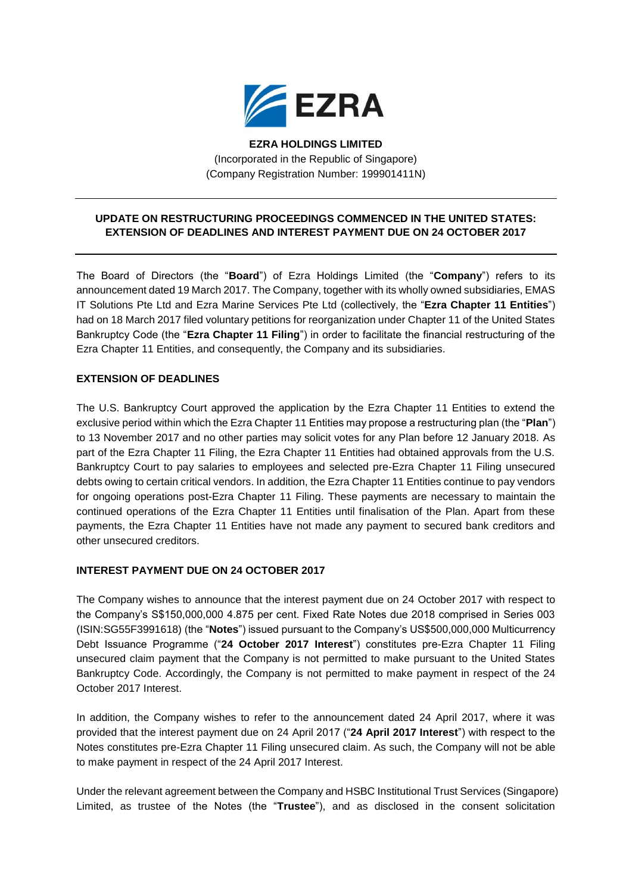

**EZRA HOLDINGS LIMITED** (Incorporated in the Republic of Singapore) (Company Registration Number: 199901411N)

## **UPDATE ON RESTRUCTURING PROCEEDINGS COMMENCED IN THE UNITED STATES: EXTENSION OF DEADLINES AND INTEREST PAYMENT DUE ON 24 OCTOBER 2017**

The Board of Directors (the "**Board**") of Ezra Holdings Limited (the "**Company**") refers to its announcement dated 19 March 2017. The Company, together with its wholly owned subsidiaries, EMAS IT Solutions Pte Ltd and Ezra Marine Services Pte Ltd (collectively, the "**Ezra Chapter 11 Entities**") had on 18 March 2017 filed voluntary petitions for reorganization under Chapter 11 of the United States Bankruptcy Code (the "**Ezra Chapter 11 Filing**") in order to facilitate the financial restructuring of the Ezra Chapter 11 Entities, and consequently, the Company and its subsidiaries.

## **EXTENSION OF DEADLINES**

The U.S. Bankruptcy Court approved the application by the Ezra Chapter 11 Entities to extend the exclusive period within which the Ezra Chapter 11 Entities may propose a restructuring plan (the "**Plan**") to 13 November 2017 and no other parties may solicit votes for any Plan before 12 January 2018. As part of the Ezra Chapter 11 Filing, the Ezra Chapter 11 Entities had obtained approvals from the U.S. Bankruptcy Court to pay salaries to employees and selected pre-Ezra Chapter 11 Filing unsecured debts owing to certain critical vendors. In addition, the Ezra Chapter 11 Entities continue to pay vendors for ongoing operations post-Ezra Chapter 11 Filing. These payments are necessary to maintain the continued operations of the Ezra Chapter 11 Entities until finalisation of the Plan. Apart from these payments, the Ezra Chapter 11 Entities have not made any payment to secured bank creditors and other unsecured creditors.

## **INTEREST PAYMENT DUE ON 24 OCTOBER 2017**

The Company wishes to announce that the interest payment due on 24 October 2017 with respect to the Company's S\$150,000,000 4.875 per cent. Fixed Rate Notes due 2018 comprised in Series 003 (ISIN:SG55F3991618) (the "**Notes**") issued pursuant to the Company's US\$500,000,000 Multicurrency Debt Issuance Programme ("**24 October 2017 Interest**") constitutes pre-Ezra Chapter 11 Filing unsecured claim payment that the Company is not permitted to make pursuant to the United States Bankruptcy Code. Accordingly, the Company is not permitted to make payment in respect of the 24 October 2017 Interest.

In addition, the Company wishes to refer to the announcement dated 24 April 2017, where it was provided that the interest payment due on 24 April 2017 ("**24 April 2017 Interest**") with respect to the Notes constitutes pre-Ezra Chapter 11 Filing unsecured claim. As such, the Company will not be able to make payment in respect of the 24 April 2017 Interest.

Under the relevant agreement between the Company and HSBC Institutional Trust Services (Singapore) Limited, as trustee of the Notes (the "**Trustee**"), and as disclosed in the consent solicitation